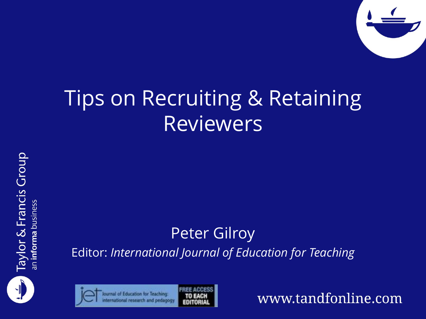

#### Tips on Recruiting & Retaining Reviewers





Peter Gilroy Editor: *International Journal of Education for Teaching*



www.tandfonline.com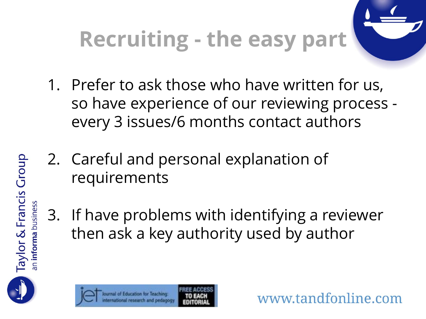

www.tandfonline.com

- 1. Prefer to ask those who have written for us, so have experience of our reviewing process every 3 issues/6 months contact authors
- 2. Careful and personal explanation of requirements
- 3. If have problems with identifying a reviewer then ask a key authority used by author



**Taylor & Francis Group**<br>an informa business



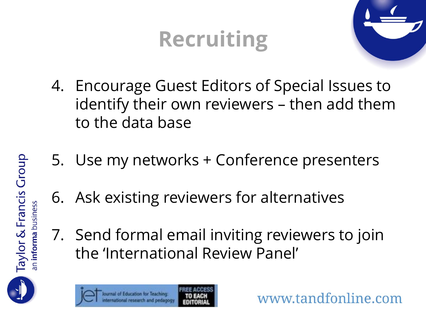### **Recruiting**



www.tandfonline.com

- 4. Encourage Guest Editors of Special Issues to identify their own reviewers – then add them to the data base
- 5. Use my networks + Conference presenters
- 6. Ask existing reviewers for alternatives
- 7. Send formal email inviting reviewers to join the 'International Review Panel'



**Taylor & Francis Group**<br>an informa business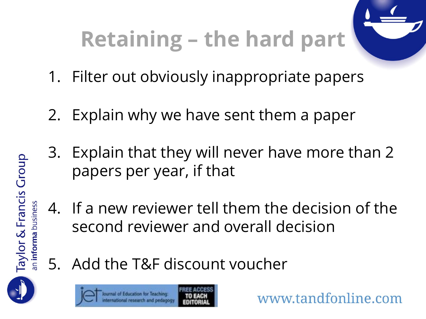# **Retaining – the hard part**



- 1. Filter out obviously inappropriate papers
- 2. Explain why we have sent them a paper
- 3. Explain that they will never have more than 2 papers per year, if that
- 4. If a new reviewer tell them the decision of the second reviewer and overall decision
- 5. Add the T&F discount voucher



Taylor & Francis Group



www.tandfonline.com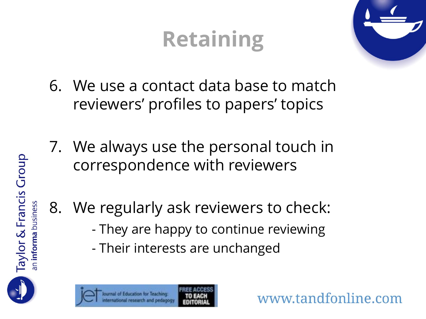## **Retaining**



www.tandfonline.com

- 6. We use a contact data base to match reviewers' profiles to papers' topics
- 7. We always use the personal touch in correspondence with reviewers
- 8. We regularly ask reviewers to check:
	- They are happy to continue reviewing
	- Their interests are unchanged



Taylor & Francis Group

n informa business